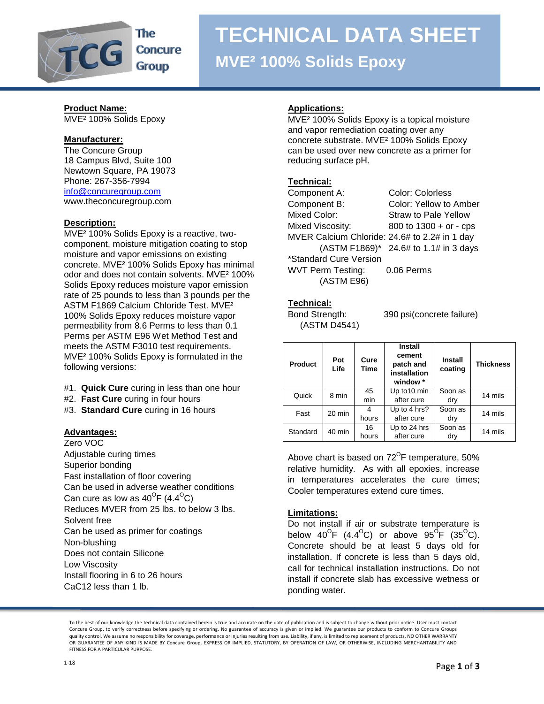

## **TECHNICAL DATA SHEET MVE² 100% Solids Epoxy**

## **Product Name:**

MVE² 100% Solids Epoxy

### **Manufacturer:**

The Concure Group 18 Campus Blvd, Suite 100 Newtown Square, PA 19073 Phone: 267-356-7994 [info@concuregroup.com](mailto:info@concuregroup.com) www.theconcuregroup.com

#### **Description:**

MVE² 100% Solids Epoxy is a reactive, twocomponent, moisture mitigation coating to stop moisture and vapor emissions on existing concrete. MVE² 100% Solids Epoxy has minimal odor and does not contain solvents. MVE² 100% Solids Epoxy reduces moisture vapor emission rate of 25 pounds to less than 3 pounds per the ASTM F1869 Calcium Chloride Test. MVE² 100% Solids Epoxy reduces moisture vapor permeability from 8.6 Perms to less than 0.1 Perms per ASTM E96 Wet Method Test and meets the ASTM F3010 test requirements. MVE² 100% Solids Epoxy is formulated in the following versions:

- #1. **Quick Cure** curing in less than one hour
- #2. **Fast Cure** curing in four hours
- #3. **Standard Cure** curing in 16 hours

#### **Advantages:**

Zero VOC Adjustable curing times Superior bonding Fast installation of floor covering Can be used in adverse weather conditions Can cure as low as 40<sup>o</sup>F (4.4<sup>o</sup>C) Reduces MVER from 25 lbs. to below 3 lbs. Solvent free Can be used as primer for coatings Non-blushing Does not contain Silicone Low Viscosity Install flooring in 6 to 26 hours CaC12 less than 1 lb.

#### **Applications:**

MVE² 100% Solids Epoxy is a topical moisture and vapor remediation coating over any concrete substrate. MVE² 100% Solids Epoxy can be used over new concrete as a primer for reducing surface pH.

#### **Technical:**

| Component A:                                  | <b>Color: Colorless</b>               |
|-----------------------------------------------|---------------------------------------|
| Component B:                                  | Color: Yellow to Amber                |
| <b>Mixed Color:</b>                           | <b>Straw to Pale Yellow</b>           |
| Mixed Viscosity:                              | 800 to $1300 + or - cps$              |
| MVER Calcium Chloride: 24.6# to 2.2# in 1 day |                                       |
|                                               | (ASTM F1869)* 24.6# to 1.1# in 3 days |
| *Standard Cure Version                        |                                       |
| <b>WVT Perm Testing:</b>                      | 0.06 Perms                            |
| (ASTM E96)                                    |                                       |

#### **Technical:**

(ASTM D4541)

Bond Strength: 390 psi(concrete failure)

| <b>Product</b> | Pot<br>Life | Cure<br>Time | Install<br>cement<br>patch and<br>installation<br>window * | <b>Install</b><br>coating | <b>Thickness</b> |
|----------------|-------------|--------------|------------------------------------------------------------|---------------------------|------------------|
| Quick          | 8 min       | 45<br>min    | Up to 10 min<br>after cure                                 | Soon as                   | 14 mils          |
|                |             |              |                                                            | dry                       |                  |
| Fast           | 20 min      | 4            | Up to 4 hrs?                                               | Soon as                   | 14 mils          |
|                |             | hours        | after cure                                                 | dry                       |                  |
| Standard       | 40 min      | 16<br>hours  | Up to 24 hrs<br>after cure                                 | Soon as<br>dry            | 14 mils          |

Above chart is based on 72 $\mathrm{^{\circ}F}$  temperature, 50% relative humidity. As with all epoxies, increase in temperatures accelerates the cure times; Cooler temperatures extend cure times.

#### **Limitations:**

Do not install if air or substrate temperature is below 40<sup>o</sup>F (4.4<sup>o</sup>C) or above 95<sup>o</sup>F (35<sup>o</sup>C). Concrete should be at least 5 days old for installation. If concrete is less than 5 days old, call for technical installation instructions. Do not install if concrete slab has excessive wetness or ponding water.

To the best of our knowledge the technical data contained herein is true and accurate on the date of publication and is subject to change without prior notice. User must contact Concure Group, to verify correctness before specifying or ordering. No guarantee of accuracy is given or implied. We guarantee our products to conform to Concure Groups quality control. We assume no responsibility for coverage, performance or injuries resulting from use. Liability, if any, is limited to replacement of products. NO OTHER WARRANTY OR GUARANTEE OF ANY KIND IS MADE BY Concure Group, EXPRESS OR IMPLIED, STATUTORY, BY OPERATION OF LAW, OR OTHERWISE, INCLUDING MERCHANTABILITY AND FITNESS FOR A PARTICULAR PURPOSE.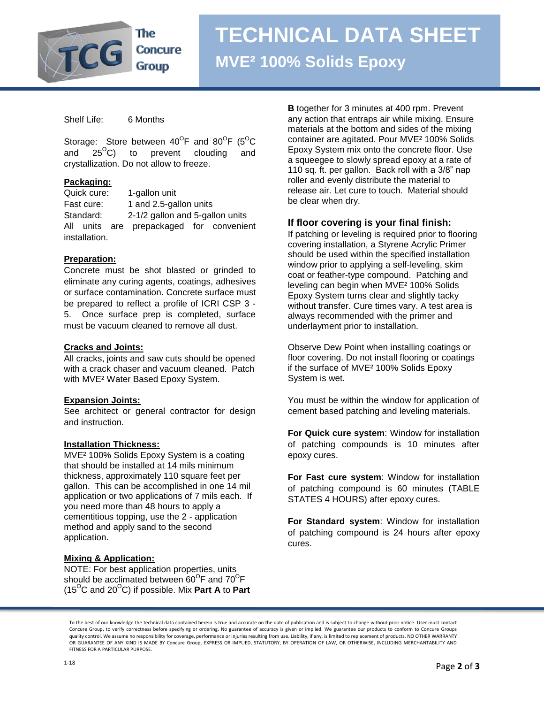

# **TECHNICAL DATA SHEET MVE² 100% Solids Epoxy**

Shelf Life: 6 Months

Storage: Store between  $40^{\circ}$ F and  $80^{\circ}$ F (5 $^{\circ}$ C and  $25^{\circ}$ C) to prevent clouding and crystallization. Do not allow to freeze.

#### **Packaging:**

Quick cure: 1-gallon unit Fast cure: 1 and 2.5-gallon units Standard: 2-1/2 gallon and 5-gallon units All units are prepackaged for convenient installation.

#### **Preparation:**

Concrete must be shot blasted or grinded to eliminate any curing agents, coatings, adhesives or surface contamination. Concrete surface must be prepared to reflect a profile of ICRI CSP 3 - 5. Once surface prep is completed, surface must be vacuum cleaned to remove all dust.

#### **Cracks and Joints:**

All cracks, joints and saw cuts should be opened with a crack chaser and vacuum cleaned. Patch with MVE² Water Based Epoxy System.

#### **Expansion Joints:**

See architect or general contractor for design and instruction.

#### **Installation Thickness:**

MVE² 100% Solids Epoxy System is a coating that should be installed at 14 mils minimum thickness, approximately 110 square feet per gallon. This can be accomplished in one 14 mil application or two applications of 7 mils each. If you need more than 48 hours to apply a cementitious topping, use the 2 - application method and apply sand to the second application.

#### **Mixing & Application:**

NOTE: For best application properties, units should be acclimated between 60<sup>o</sup>F and 70<sup>o</sup>F  $(15^{\circ}$ C and  $20^{\circ}$ C) if possible. Mix **Part A** to **Part**  **B** together for 3 minutes at 400 rpm. Prevent any action that entraps air while mixing. Ensure materials at the bottom and sides of the mixing container are agitated. Pour MVE² 100% Solids Epoxy System mix onto the concrete floor. Use a squeegee to slowly spread epoxy at a rate of 110 sq. ft. per gallon. Back roll with a 3/8" nap roller and evenly distribute the material to release air. Let cure to touch. Material should be clear when dry.

#### **If floor covering is your final finish:**

If patching or leveling is required prior to flooring covering installation, a Styrene Acrylic Primer should be used within the specified installation window prior to applying a self-leveling, skim coat or feather-type compound. Patching and leveling can begin when MVE² 100% Solids Epoxy System turns clear and slightly tacky without transfer. Cure times vary. A test area is always recommended with the primer and underlayment prior to installation.

Observe Dew Point when installing coatings or floor covering. Do not install flooring or coatings if the surface of MVE² 100% Solids Epoxy System is wet.

You must be within the window for application of cement based patching and leveling materials.

**For Quick cure system**: Window for installation of patching compounds is 10 minutes after epoxy cures.

**For Fast cure system**: Window for installation of patching compound is 60 minutes (TABLE STATES 4 HOURS) after epoxy cures.

**For Standard system**: Window for installation of patching compound is 24 hours after epoxy cures.

To the best of our knowledge the technical data contained herein is true and accurate on the date of publication and is subject to change without prior notice. User must contact Concure Group, to verify correctness before specifying or ordering. No guarantee of accuracy is given or implied. We guarantee our products to conform to Concure Groups quality control. We assume no responsibility for coverage, performance or injuries resulting from use. Liability, if any, is limited to replacement of products. NO OTHER WARRANTY OR GUARANTEE OF ANY KIND IS MADE BY Concure Group, EXPRESS OR IMPLIED, STATUTORY, BY OPERATION OF LAW, OR OTHERWISE, INCLUDING MERCHANTABILITY AND FITNESS FOR A PARTICULAR PURPOSE.